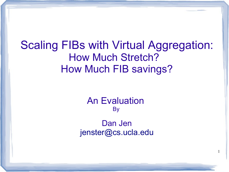Scaling FIBs with Virtual Aggregation: How Much Stretch? How Much FIB savings?

> An Evaluation **By**

Dan Jen [jenster@cs.ucla.edu](mailto:jenster@cs.ucla.edu)

1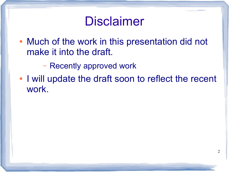## Disclaimer

- Much of the work in this presentation did not make it into the draft.
	- Recently approved work
- I will update the draft soon to reflect the recent work.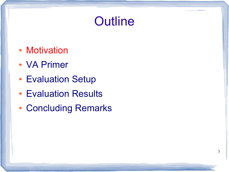## **Outline**

3

- Motivation
- VA Primer
- Evaluation Setup
- Evaluation Results
- Concluding Remarks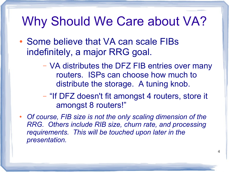#### Why Should We Care about VA?

- Some believe that VA can scale FIBs indefinitely, a major RRG goal.
	- VA distributes the DFZ FIB entries over many routers. ISPs can choose how much to distribute the storage. A tuning knob.
	- "If DFZ doesn't fit amongst 4 routers, store it amongst 8 routers!"
- *Of course, FIB size is not the only scaling dimension of the RRG. Others include RIB size, churn rate, and processing requirements. This will be touched upon later in the presentation.*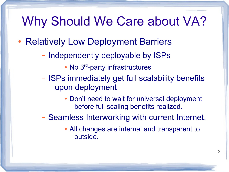#### Why Should We Care about VA?

- Relatively Low Deployment Barriers
	- Independently deployable by ISPs
		- $\cdot$  No  $3^{rd}$ -party infrastructures
	- ISPs immediately get full scalability benefits upon deployment
		- Don't need to wait for universal deployment before full scaling benefits realized.
	- Seamless Interworking with current Internet.
		- All changes are internal and transparent to outside.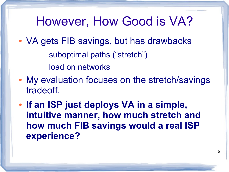#### However, How Good is VA?

- VA gets FIB savings, but has drawbacks
	- suboptimal paths ("stretch")
	- load on networks
- My evaluation focuses on the stretch/savings tradeoff.
- If an ISP just deploys VA in a simple, **intuitive manner, how much stretch and how much FIB savings would a real ISP experience?**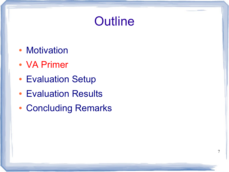## **Outline**

7

- Motivation
- VA Primer
- Evaluation Setup
- Evaluation Results
- Concluding Remarks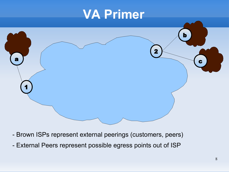

- Brown ISPs represent external peerings (customers, peers)
- External Peers represent possible egress points out of ISP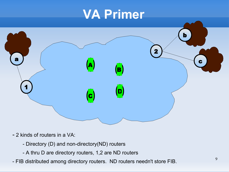

- 2 kinds of routers in a VA:
	- Directory (D) and non-directory(ND) routers
	- A thru D are directory routers, 1,2 are ND routers
- FIB distributed among directory routers. ND routers needn't store FIB.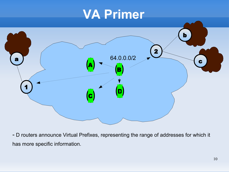

- D routers announce Virtual Prefixes, representing the range of addresses for which it has more specific information.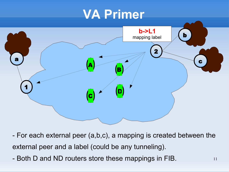

- For each external peer (a,b,c), a mapping is created between the external peer and a label (could be any tunneling).
- Both D and ND routers store these mappings in FIB.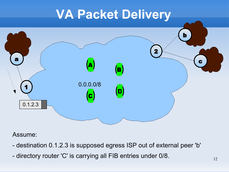

Assume:

- destination 0.1.2.3 is supposed egress ISP out of external peer 'b'
- directory router 'C' is carrying all FIB entries under 0/8.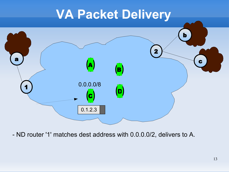

- ND router '1' matches dest address with 0.0.0.0/2, delivers to A.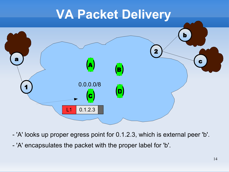

- 'A' looks up proper egress point for 0.1.2.3, which is external peer 'b'.
- 'A' encapsulates the packet with the proper label for 'b'.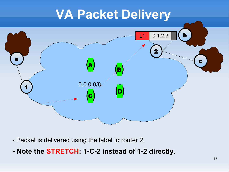

- Packet is delivered using the label to router 2.
- **Note the STRETCH: 1-C-2 instead of 1-2 directly.**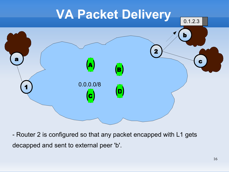

- Router 2 is configured so that any packet encapped with L1 gets decapped and sent to external peer 'b'.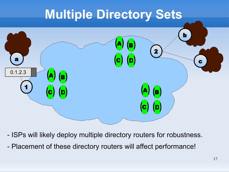## **Multiple Directory Sets**



- ISPs will likely deploy multiple directory routers for robustness.
- Placement of these directory routers will affect performance!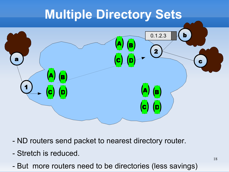## **Multiple Directory Sets**



- ND routers send packet to nearest directory router.
- Stretch is reduced.
- But more routers need to be directories (less savings)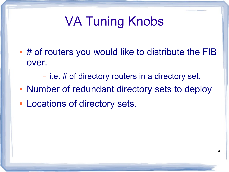# VA Tuning Knobs

- $\cdot$  # of routers you would like to distribute the FIB over.
	- i.e. # of directory routers in a directory set.
- Number of redundant directory sets to deploy
- Locations of directory sets.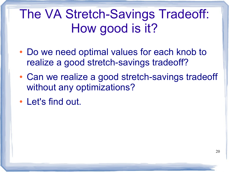The VA Stretch-Savings Tradeoff: How good is it?

- Do we need optimal values for each knob to realize a good stretch-savings tradeoff?
- Can we realize a good stretch-savings tradeoff without any optimizations?
- Let's find out.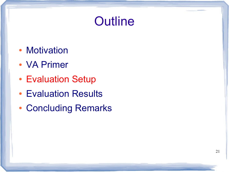## **Outline**

- Motivation
- VA Primer
- Evaluation Setup
- Evaluation Results
- Concluding Remarks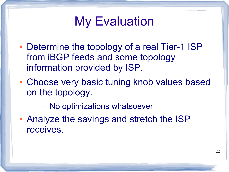## My Evaluation

- Determine the topology of a real Tier-1 ISP from iBGP feeds and some topology information provided by ISP.
- Choose very basic tuning knob values based on the topology.

– No optimizations whatsoever

• Analyze the savings and stretch the ISP receives.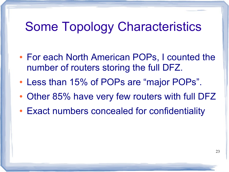#### Some Topology Characteristics

- For each North American POPs, I counted the number of routers storing the full DFZ.
- Less than 15% of POPs are "major POPs".
- Other 85% have very few routers with full DFZ
- Exact numbers concealed for confidentiality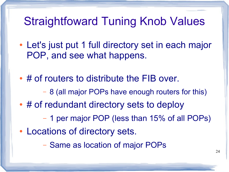#### Straightfoward Tuning Knob Values

- Let's just put 1 full directory set in each major POP, and see what happens.
- # of routers to distribute the FIB over.
	- 8 (all major POPs have enough routers for this)
- # of redundant directory sets to deploy
	- 1 per major POP (less than 15% of all POPs)
- Locations of directory sets.

– Same as location of major POPs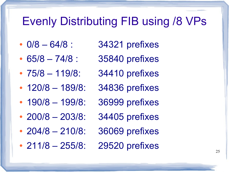#### Evenly Distributing FIB using /8 VPs

- $\cdot$  0/8 64/8 : 34321 prefixes
- $65/8 74/8 : 35840$  prefixes
- $75/8 119/8$ : 34410 prefixes
- 120/8 189/8: 34836 prefixes
- 190/8 199/8: 36999 prefixes
- 200/8  $-$  203/8: 34405 prefixes
- 204/8 210/8: 36069 prefixes
- 211/8 255/8: 29520 prefixes
- 
- - -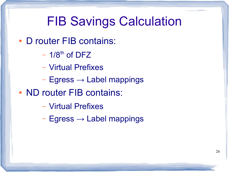#### FIB Savings Calculation

- D router FIB contains:
	- $-1/8$ <sup>th</sup> of DFZ
	- Virtual Prefixes
	- $-$  Egress  $\rightarrow$  Label mappings
- ND router FIB contains:
	- Virtual Prefixes
	- $-$  Egress  $\rightarrow$  Label mappings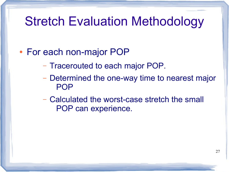#### Stretch Evaluation Methodology

#### • For each non-major POP

- Tracerouted to each major POP.
- Determined the one-way time to nearest major POP
- Calculated the worst-case stretch the small POP can experience.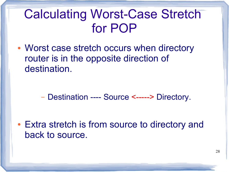## Calculating Worst-Case Stretch for POP

• Worst case stretch occurs when directory router is in the opposite direction of destination.

– Destination ---- Source <-----> Directory.

• Extra stretch is from source to directory and back to source.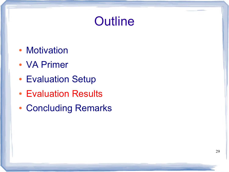## **Outline**

- Motivation
- VA Primer
- Evaluation Setup
- Evaluation Results
- Concluding Remarks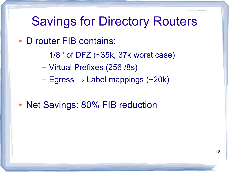#### Savings for Directory Routers

- D router FIB contains:
	- $-1/8$ <sup>th</sup> of DFZ (~35k, 37k worst case)
	- Virtual Prefixes (256 /8s)
	- $-$  Egress  $\rightarrow$  Label mappings (~20k)
- Net Savings: 80% FIB reduction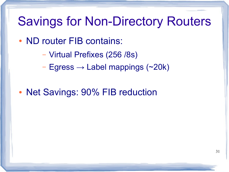#### Savings for Non-Directory Routers

- ND router FIB contains:
	- Virtual Prefixes (256 /8s)
	- $-$  Egress  $\rightarrow$  Label mappings (~20k)
- Net Savings: 90% FIB reduction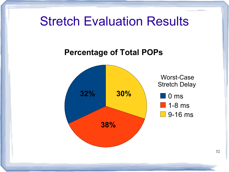#### Stretch Evaluation Results

#### **Percentage of Total POPs**



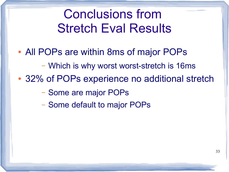## Conclusions from Stretch Eval Results

- All POPs are within 8ms of major POPs
	- Which is why worst worst-stretch is 16ms
- 32% of POPs experience no additional stretch
	- Some are major POPs
	- Some default to major POPs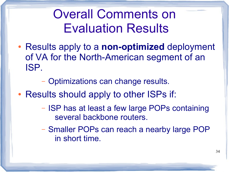## Overall Comments on Evaluation Results

• Results apply to a **non-optimized** deployment of VA for the North-American segment of an ISP.

– Optimizations can change results.

- Results should apply to other ISPs if:
	- ISP has at least a few large POPs containing several backbone routers.
	- Smaller POPs can reach a nearby large POP in short time.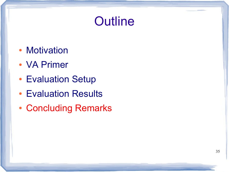## **Outline**

- Motivation
- VA Primer
- Evaluation Setup
- Evaluation Results
- Concluding Remarks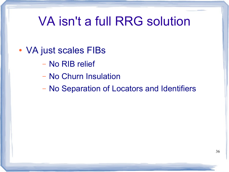## VA isn't a full RRG solution

- VA just scales FIBs
	- No RIB relief
	- No Churn Insulation
	- No Separation of Locators and Identifiers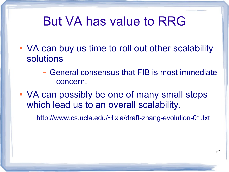#### But VA has value to RRG

- VA can buy us time to roll out other scalability solutions
	- General consensus that FIB is most immediate concern.
- VA can possibly be one of many small steps which lead us to an overall scalability.
	- http://www.cs.ucla.edu/~lixia/draft-zhang-evolution-01.txt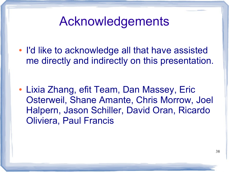#### Acknowledgements

• I'd like to acknowledge all that have assisted me directly and indirectly on this presentation.

• Lixia Zhang, efit Team, Dan Massey, Eric Osterweil, Shane Amante, Chris Morrow, Joel Halpern, Jason Schiller, David Oran, Ricardo Oliviera, Paul Francis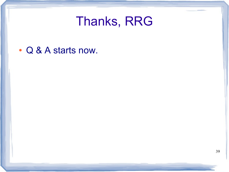#### Thanks, RRG

• Q & A starts now.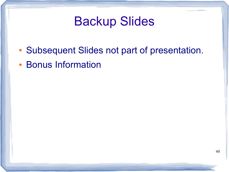#### Backup Slides

- Subsequent Slides not part of presentation.
- Bonus Information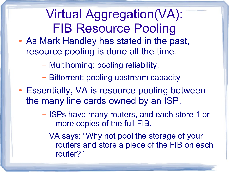## Virtual Aggregation(VA): FIB Resource Pooling

- As Mark Handley has stated in the past, resource pooling is done all the time.
	- Multihoming: pooling reliability.
	- Bittorrent: pooling upstream capacity
- Essentially, VA is resource pooling between the many line cards owned by an ISP.
	- ISPs have many routers, and each store 1 or more copies of the full FIB.
	- VA says: "Why not pool the storage of your routers and store a piece of the FIB on each router?"

41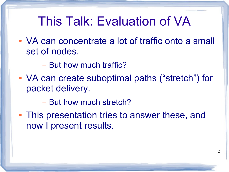#### This Talk: Evaluation of VA

- VA can concentrate a lot of traffic onto a small set of nodes.
	- But how much traffic?
- VA can create suboptimal paths ("stretch") for packet delivery.

– But how much stretch?

• This presentation tries to answer these, and now I present results.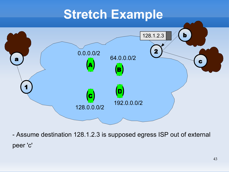## **Stretch Example**



- Assume destination 128.1.2.3 is supposed egress ISP out of external peer 'c'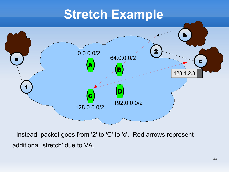## **Stretch Example**



- Instead, packet goes from '2' to 'C' to 'c'. Red arrows represent additional 'stretch' due to VA.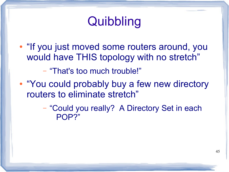## **Quibbling**

• "If you just moved some routers around, you would have THIS topology with no stretch"

– "That's too much trouble!"

• "You could probably buy a few new directory routers to eliminate stretch"

> – "Could you really? A Directory Set in each POP?"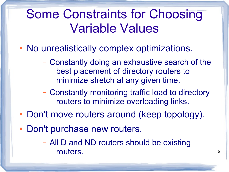## Some Constraints for Choosing Variable Values

- No unrealistically complex optimizations.
	- Constantly doing an exhaustive search of the best placement of directory routers to minimize stretch at any given time.
	- Constantly monitoring traffic load to directory routers to minimize overloading links.
- Don't move routers around (keep topology).
- Don't purchase new routers.

– All D and ND routers should be existing routers.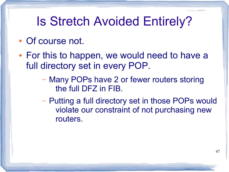## Is Stretch Avoided Entirely?

- Of course not.
- For this to happen, we would need to have a full directory set in every POP.
	- Many POPs have 2 or fewer routers storing the full DFZ in FIB.
	- Putting a full directory set in those POPs would violate our constraint of not purchasing new routers.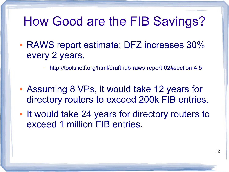#### How Good are the FIB Savings?

• RAWS report estimate: DFZ increases 30% every 2 years.

– <http://tools.ietf.org/html/draft-iab-raws-report-02#section-4.5>

- Assuming 8 VPs, it would take 12 years for directory routers to exceed 200k FIB entries.
- It would take 24 years for directory routers to exceed 1 million FIB entries.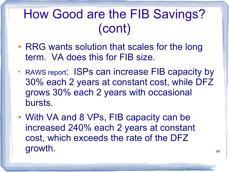## How Good are the FIB Savings? (cont)

- RRG wants solution that scales for the long term. VA does this for FIB size.
- RAWS report: ISPs can increase FIB capacity by 30% each 2 years at constant cost, while DFZ grows 30% each 2 years with occasional bursts.
- With VA and 8 VPs, FIB capacity can be increased 240% each 2 years at constant cost, which exceeds the rate of the DFZ growth.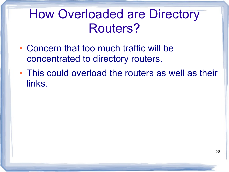## How Overloaded are Directory Routers?

- Concern that too much traffic will be concentrated to directory routers.
- This could overload the routers as well as their links.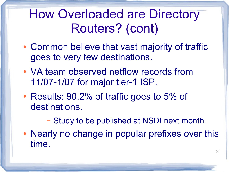## How Overloaded are Directory Routers? (cont)

- Common believe that vast majority of traffic goes to very few destinations.
- VA team observed netflow records from 11/07-1/07 for major tier-1 ISP.
- Results: 90.2% of traffic goes to 5% of destinations.

– Study to be published at NSDI next month.

• Nearly no change in popular prefixes over this time.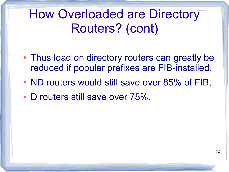How Overloaded are Directory Routers? (cont)

- Thus load on directory routers can greatly be reduced if popular prefixes are FIB-installed.
- ND routers would still save over 85% of FIB,
- D routers still save over 75%.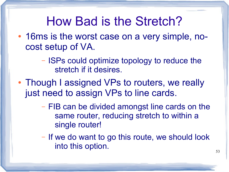#### How Bad is the Stretch?

- 16ms is the worst case on a very simple, nocost setup of VA.
	- ISPs could optimize topology to reduce the stretch if it desires.
- Though I assigned VPs to routers, we really just need to assign VPs to line cards.
	- FIB can be divided amongst line cards on the same router, reducing stretch to within a single router!
	- If we do want to go this route, we should look into this option.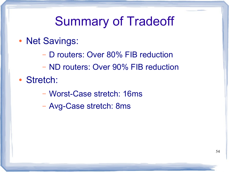## Summary of Tradeoff

- Net Savings:
	- D routers: Over 80% FIB reduction
	- ND routers: Over 90% FIB reduction
- Stretch:
	- Worst-Case stretch: 16ms
	- Avg-Case stretch: 8ms